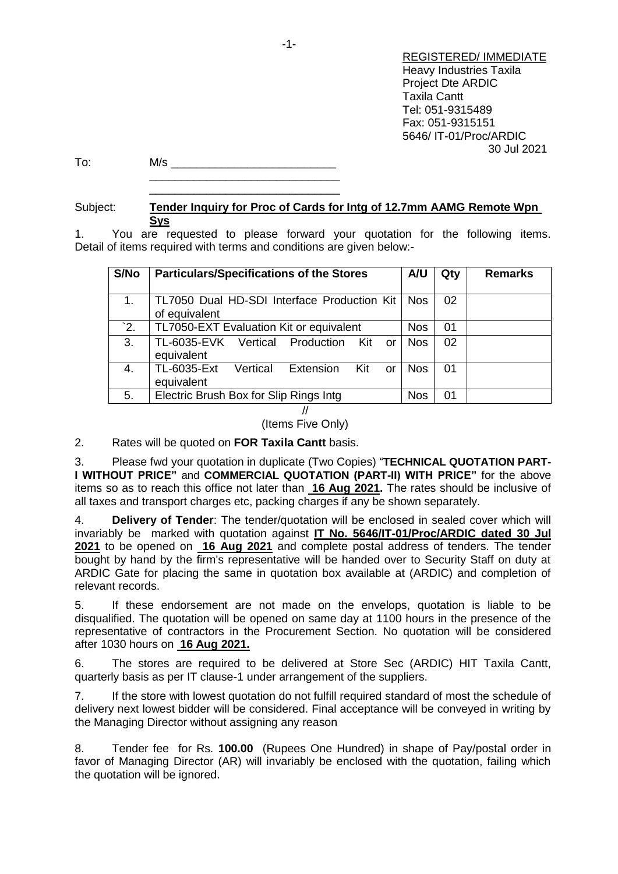REGISTERED/ IMMEDIATE Heavy Industries Taxila Project Dte ARDIC Taxila Cantt Tel: 051-9315489 Fax: 051-9315151 5646/ IT-01/Proc/ARDIC 30 Jul 2021

To: M/s \_\_\_\_\_\_\_\_\_\_\_\_\_\_\_\_\_\_\_\_\_\_\_\_\_\_ \_\_\_\_\_\_\_\_\_\_\_\_\_\_\_\_\_\_\_\_\_\_\_\_\_\_\_\_\_\_

\_\_\_\_\_\_\_\_\_\_\_\_\_\_\_\_\_\_\_\_\_\_\_\_\_\_\_\_\_\_

## Subject: **Tender Inquiry for Proc of Cards for Intg of 12.7mm AAMG Remote Wpn Sys**

1. You are requested to please forward your quotation for the following items. Detail of items required with terms and conditions are given below:-

| S/No | <b>Particulars/Specifications of the Stores</b>                 | A/U        | Qty | <b>Remarks</b> |
|------|-----------------------------------------------------------------|------------|-----|----------------|
| 1.   | TL7050 Dual HD-SDI Interface Production Kit<br>of equivalent    | <b>Nos</b> | 02  |                |
| 2.   | TL7050-EXT Evaluation Kit or equivalent                         | <b>Nos</b> | 01  |                |
| 3.   | TL-6035-EVK Vertical Production<br>$K$ it<br>or<br>equivalent   | <b>Nos</b> | 02  |                |
| 4.   | TL-6035-Ext<br>Extension<br>Vertical<br>Kit<br>or<br>equivalent | <b>Nos</b> | 01  |                |
| 5.   | Electric Brush Box for Slip Rings Intg                          | <b>Nos</b> | 01  |                |

## //

(Items Five Only)

2. Rates will be quoted on **FOR Taxila Cantt** basis.

3. Please fwd your quotation in duplicate (Two Copies) "**TECHNICAL QUOTATION PART-I WITHOUT PRICE"** and **COMMERCIAL QUOTATION (PART-II) WITH PRICE"** for the above items so as to reach this office not later than **16 Aug 2021.** The rates should be inclusive of all taxes and transport charges etc, packing charges if any be shown separately.

4. **Delivery of Tender**: The tender/quotation will be enclosed in sealed cover which will invariably be marked with quotation against **IT No. 5646/IT-01/Proc/ARDIC dated 30 Jul 2021** to be opened on **16 Aug 2021** and complete postal address of tenders. The tender bought by hand by the firm's representative will be handed over to Security Staff on duty at ARDIC Gate for placing the same in quotation box available at (ARDIC) and completion of relevant records.

5. If these endorsement are not made on the envelops, quotation is liable to be disqualified. The quotation will be opened on same day at 1100 hours in the presence of the representative of contractors in the Procurement Section. No quotation will be considered after 1030 hours on **16 Aug 2021.**

6. The stores are required to be delivered at Store Sec (ARDIC) HIT Taxila Cantt, quarterly basis as per IT clause-1 under arrangement of the suppliers.

7. If the store with lowest quotation do not fulfill required standard of most the schedule of delivery next lowest bidder will be considered. Final acceptance will be conveyed in writing by the Managing Director without assigning any reason

8. Tender fee for Rs. **100.00** (Rupees One Hundred) in shape of Pay/postal order in favor of Managing Director (AR) will invariably be enclosed with the quotation, failing which the quotation will be ignored.